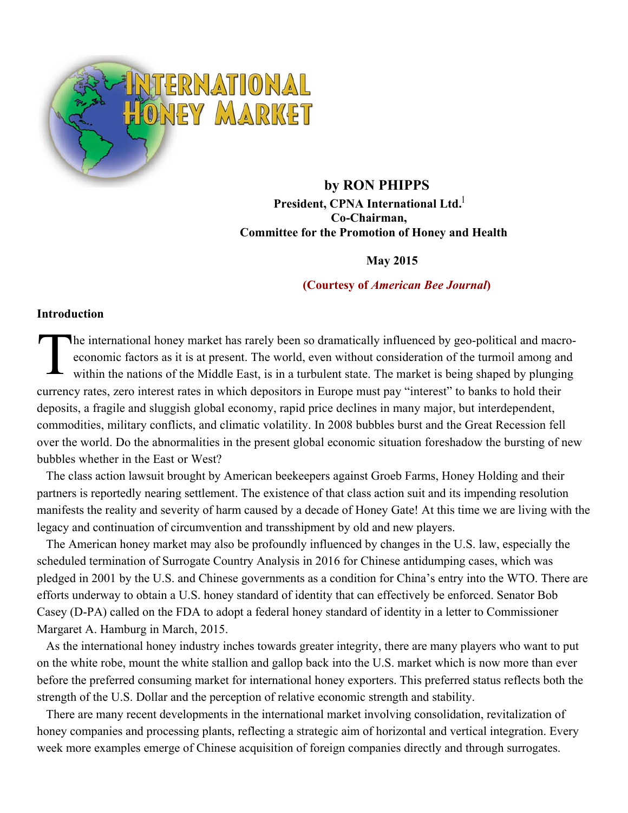

# **by RON PHIPPS**  President, CPNA International Ltd.<sup>1</sup>  **Co-Chairman, Committee for the Promotion of Honey and Health**

### **May 2015**

**(Courtesy of** *American Bee Journal***)** 

## **Introduction**

he international honey market has rarely been so dramatically influenced by geo-political and macroeconomic factors as it is at present. The world, even without consideration of the turmoil among and within the nations of the Middle East, is in a turbulent state. The market is being shaped by plunging currency rates, zero interest rates in which depositors in Europe must pay "interest" to banks to hold their deposits, a fragile and sluggish global economy, rapid price declines in many major, but interdependent, commodities, military conflicts, and climatic volatility. In 2008 bubbles burst and the Great Recession fell over the world. Do the abnormalities in the present global economic situation foreshadow the bursting of new bubbles whether in the East or West? The economic

The class action lawsuit brought by American beekeepers against Groeb Farms, Honey Holding and their partners is reportedly nearing settlement. The existence of that class action suit and its impending resolution manifests the reality and severity of harm caused by a decade of Honey Gate! At this time we are living with the legacy and continuation of circumvention and transshipment by old and new players.

The American honey market may also be profoundly influenced by changes in the U.S. law, especially the scheduled termination of Surrogate Country Analysis in 2016 for Chinese antidumping cases, which was pledged in 2001 by the U.S. and Chinese governments as a condition for China's entry into the WTO. There are efforts underway to obtain a U.S. honey standard of identity that can effectively be enforced. Senator Bob Casey (D-PA) called on the FDA to adopt a federal honey standard of identity in a letter to Commissioner Margaret A. Hamburg in March, 2015.

As the international honey industry inches towards greater integrity, there are many players who want to put on the white robe, mount the white stallion and gallop back into the U.S. market which is now more than ever before the preferred consuming market for international honey exporters. This preferred status reflects both the strength of the U.S. Dollar and the perception of relative economic strength and stability.

There are many recent developments in the international market involving consolidation, revitalization of honey companies and processing plants, reflecting a strategic aim of horizontal and vertical integration. Every week more examples emerge of Chinese acquisition of foreign companies directly and through surrogates.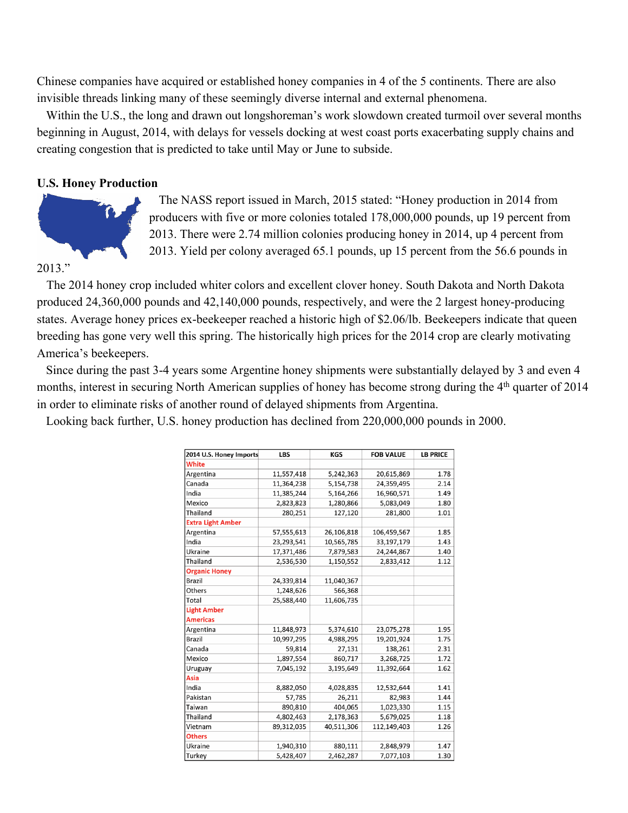Chinese companies have acquired or established honey companies in 4 of the 5 continents. There are also invisible threads linking many of these seemingly diverse internal and external phenomena.

Within the U.S., the long and drawn out longshoreman's work slowdown created turmoil over several months beginning in August, 2014, with delays for vessels docking at west coast ports exacerbating supply chains and creating congestion that is predicted to take until May or June to subside.

## **U.S. Honey Production**



The NASS report issued in March, 2015 stated: "Honey production in 2014 from producers with five or more colonies totaled 178,000,000 pounds, up 19 percent from 2013. There were 2.74 million colonies producing honey in 2014, up 4 percent from 2013. Yield per colony averaged 65.1 pounds, up 15 percent from the 56.6 pounds in

### 2013."

The 2014 honey crop included whiter colors and excellent clover honey. South Dakota and North Dakota produced 24,360,000 pounds and 42,140,000 pounds, respectively, and were the 2 largest honey-producing states. Average honey prices ex-beekeeper reached a historic high of \$2.06/lb. Beekeepers indicate that queen breeding has gone very well this spring. The historically high prices for the 2014 crop are clearly motivating America's beekeepers.

Since during the past 3-4 years some Argentine honey shipments were substantially delayed by 3 and even 4 months, interest in securing North American supplies of honey has become strong during the 4<sup>th</sup> quarter of 2014 in order to eliminate risks of another round of delayed shipments from Argentina.

Looking back further, U.S. honey production has declined from 220,000,000 pounds in 2000.

| 2014 U.S. Honey Imports  | <b>LBS</b> | KGS        | <b>FOB VALUE</b> | <b>LB PRICE</b> |
|--------------------------|------------|------------|------------------|-----------------|
| White                    |            |            |                  |                 |
| Argentina                | 11,557,418 | 5,242,363  | 20,615,869       | 1.78            |
| Canada                   | 11,364,238 | 5,154,738  | 24,359,495       | 2.14            |
| India                    | 11,385,244 | 5,164,266  | 16,960,571       | 1.49            |
| Mexico                   | 2,823,823  | 1,280,866  | 5,083,049        | 1.80            |
| Thailand                 | 280,251    | 127,120    | 281,800          | 1.01            |
| <b>Extra Light Amber</b> |            |            |                  |                 |
| Argentina                | 57,555,613 | 26,106,818 | 106,459,567      | 1.85            |
| India                    | 23,293,541 | 10,565,785 | 33,197,179       | 1.43            |
| Ukraine                  | 17,371,486 | 7,879,583  | 24,244,867       | 1.40            |
| Thailand                 | 2,536,530  | 1,150,552  | 2,833,412        | 1.12            |
| <b>Organic Honey</b>     |            |            |                  |                 |
| Brazil                   | 24,339,814 | 11,040,367 |                  |                 |
| Others                   | 1,248,626  | 566,368    |                  |                 |
| Total                    | 25,588,440 | 11,606,735 |                  |                 |
| <b>Light Amber</b>       |            |            |                  |                 |
| <b>Americas</b>          |            |            |                  |                 |
| Argentina                | 11,848,973 | 5,374,610  | 23,075,278       | 1.95            |
| <b>Brazil</b>            | 10.997.295 | 4,988,295  | 19.201.924       | 1.75            |
| Canada                   | 59,814     | 27,131     | 138,261          | 2.31            |
| Mexico                   | 1,897,554  | 860,717    | 3,268,725        | 1.72            |
| Uruguay                  | 7,045,192  | 3,195,649  | 11,392,664       | 1.62            |
| Asia                     |            |            |                  |                 |
| India                    | 8,882,050  | 4,028,835  | 12,532,644       | 1.41            |
| Pakistan                 | 57,785     | 26,211     | 82,983           | 1.44            |
| Taiwan                   | 890,810    | 404,065    | 1,023,330        | 1.15            |
| Thailand                 | 4,802,463  | 2,178,363  | 5,679,025        | 1.18            |
| Vietnam                  | 89,312,035 | 40,511,306 | 112,149,403      | 1.26            |
| <b>Others</b>            |            |            |                  |                 |
| Ukraine                  | 1,940,310  | 880,111    | 2,848,979        | 1.47            |
| Turkey                   | 5,428,407  | 2,462,287  | 7,077,103        | 1.30            |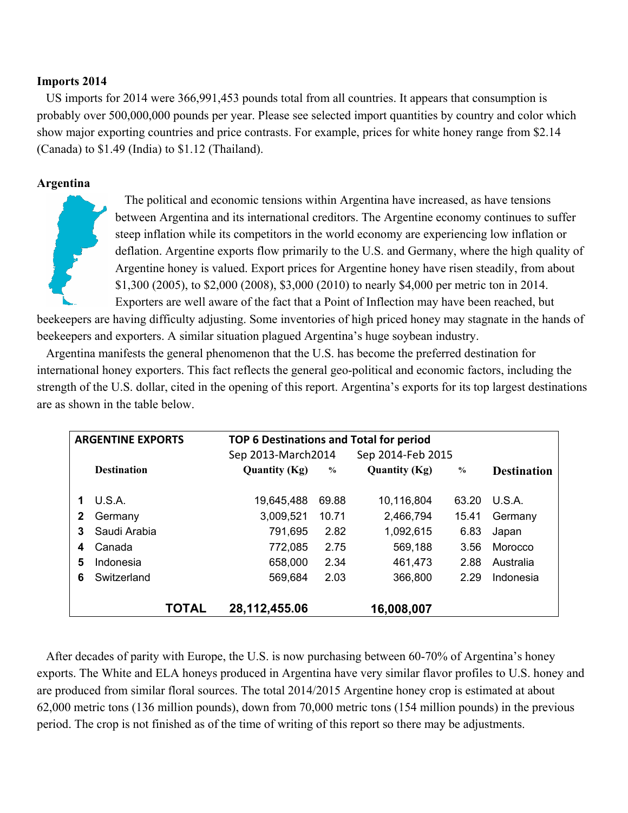### **Imports 2014**

US imports for 2014 were 366,991,453 pounds total from all countries. It appears that consumption is probably over 500,000,000 pounds per year. Please see selected import quantities by country and color which show major exporting countries and price contrasts. For example, prices for white honey range from \$2.14 (Canada) to \$1.49 (India) to \$1.12 (Thailand).

### **Argentina**

The political and economic tensions within Argentina have increased, as have tensions between Argentina and its international creditors. The Argentine economy continues to suffer steep inflation while its competitors in the world economy are experiencing low inflation or deflation. Argentine exports flow primarily to the U.S. and Germany, where the high quality of Argentine honey is valued. Export prices for Argentine honey have risen steadily, from about \$1,300 (2005), to \$2,000 (2008), \$3,000 (2010) to nearly \$4,000 per metric ton in 2014. Exporters are well aware of the fact that a Point of Inflection may have been reached, but

beekeepers are having difficulty adjusting. Some inventories of high priced honey may stagnate in the hands of beekeepers and exporters. A similar situation plagued Argentina's huge soybean industry.

Argentina manifests the general phenomenon that the U.S. has become the preferred destination for international honey exporters. This fact reflects the general geo-political and economic factors, including the strength of the U.S. dollar, cited in the opening of this report. Argentina's exports for its top largest destinations are as shown in the table below.

|   | <b>ARGENTINE EXPORTS</b> |              | TOP 6 Destinations and Total for period |       |                      |               |                    |
|---|--------------------------|--------------|-----------------------------------------|-------|----------------------|---------------|--------------------|
|   |                          |              | Sep 2013-March2014                      |       | Sep 2014-Feb 2015    |               |                    |
|   | <b>Destination</b>       |              | <b>Quantity (Kg)</b>                    | $\%$  | <b>Quantity (Kg)</b> | $\frac{6}{6}$ | <b>Destination</b> |
|   | U.S.A.                   |              | 19,645,488                              | 69.88 | 10,116,804           | 63.20         | U.S.A.             |
| 2 | Germany                  |              | 3,009,521                               | 10.71 | 2,466,794            | 15.41         | Germany            |
| 3 | Saudi Arabia             |              | 791,695                                 | 2.82  | 1,092,615            | 6.83          | Japan              |
| 4 | Canada                   |              | 772,085                                 | 2.75  | 569,188              | 3.56          | Morocco            |
| 5 | Indonesia                |              | 658,000                                 | 2.34  | 461,473              | 2.88          | Australia          |
| 6 | Switzerland              |              | 569,684                                 | 2.03  | 366,800              | 2.29          | Indonesia          |
|   |                          |              |                                         |       |                      |               |                    |
|   |                          | <b>TOTAL</b> | 28,112,455.06                           |       | 16,008,007           |               |                    |

After decades of parity with Europe, the U.S. is now purchasing between 60-70% of Argentina's honey exports. The White and ELA honeys produced in Argentina have very similar flavor profiles to U.S. honey and are produced from similar floral sources. The total 2014/2015 Argentine honey crop is estimated at about 62,000 metric tons (136 million pounds), down from 70,000 metric tons (154 million pounds) in the previous period. The crop is not finished as of the time of writing of this report so there may be adjustments.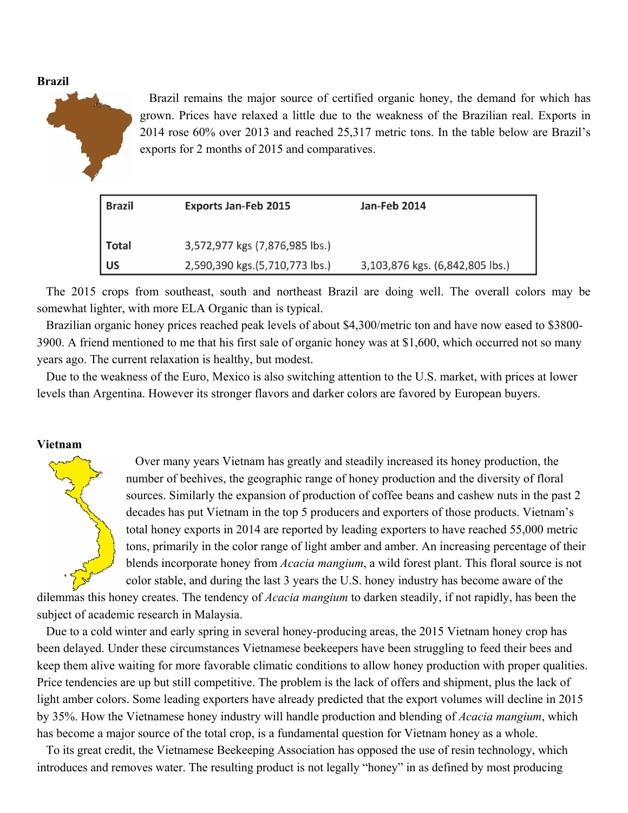**Brazil**



Brazil remains the major source of certified organic honey, the demand for which has grown. Prices have relaxed a little due to the weakness of the Brazilian real. Exports in 2014 rose 60% over 2013 and reached 25,317 metric tons. In the table below are Brazil's exports for 2 months of 2015 and comparatives.

| Brazil | <b>Exports Jan-Feb 2015</b>    | Jan-Feb 2014                    |
|--------|--------------------------------|---------------------------------|
| Total  | 3,572,977 kgs (7,876,985 lbs.) |                                 |
| $ $ US | 2,590,390 kgs.(5,710,773 lbs.) | 3,103,876 kgs. (6,842,805 lbs.) |

The 2015 crops from southeast, south and northeast Brazil are doing well. The overall colors may be somewhat lighter, with more ELA Organic than is typical.

Brazilian organic honey prices reached peak levels of about \$4,300/metric ton and have now eased to \$3800- 3900. A friend mentioned to me that his first sale of organic honey was at \$1,600, which occurred not so many years ago. The current relaxation is healthy, but modest.

Due to the weakness of the Euro, Mexico is also switching attention to the U.S. market, with prices at lower levels than Argentina. However its stronger flavors and darker colors are favored by European buyers.

#### **Vietnam**

Over many years Vietnam has greatly and steadily increased its honey production, the number of beehives, the geographic range of honey production and the diversity of floral sources. Similarly the expansion of production of coffee beans and cashew nuts in the past 2 decades has put Vietnam in the top 5 producers and exporters of those products. Vietnam's total honey exports in 2014 are reported by leading exporters to have reached 55,000 metric tons, primarily in the color range of light amber and amber. An increasing percentage of their blends incorporate honey from *Acacia mangium*, a wild forest plant. This floral source is not color stable, and during the last 3 years the U.S. honey industry has become aware of the

dilemmas this honey creates. The tendency of *Acacia mangium* to darken steadily, if not rapidly, has been the subject of academic research in Malaysia.

Due to a cold winter and early spring in several honey-producing areas, the 2015 Vietnam honey crop has been delayed. Under these circumstances Vietnamese beekeepers have been struggling to feed their bees and keep them alive waiting for more favorable climatic conditions to allow honey production with proper qualities. Price tendencies are up but still competitive. The problem is the lack of offers and shipment, plus the lack of light amber colors. Some leading exporters have already predicted that the export volumes will decline in 2015 by 35%. How the Vietnamese honey industry will handle production and blending of *Acacia mangium*, which has become a major source of the total crop, is a fundamental question for Vietnam honey as a whole.

To its great credit, the Vietnamese Beekeeping Association has opposed the use of resin technology, which introduces and removes water. The resulting product is not legally "honey" in as defined by most producing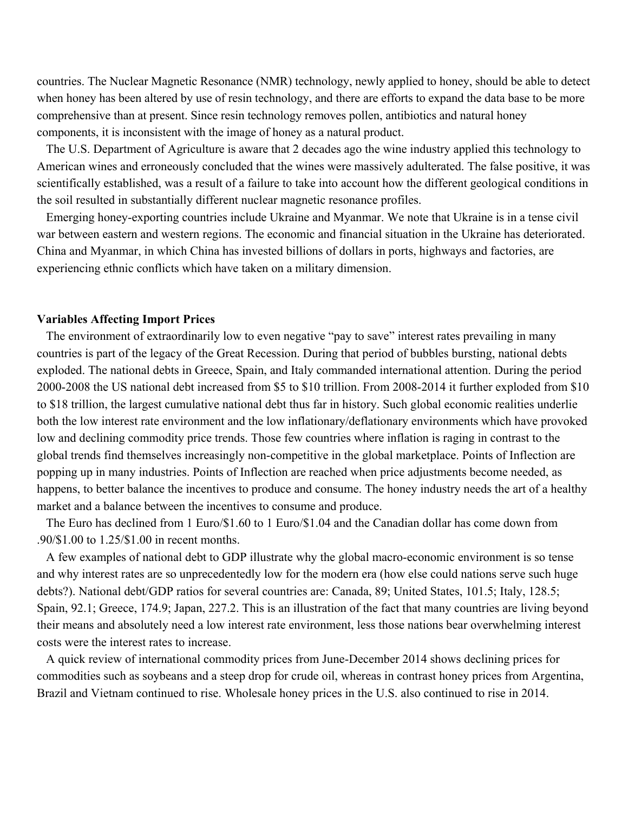countries. The Nuclear Magnetic Resonance (NMR) technology, newly applied to honey, should be able to detect when honey has been altered by use of resin technology, and there are efforts to expand the data base to be more comprehensive than at present. Since resin technology removes pollen, antibiotics and natural honey components, it is inconsistent with the image of honey as a natural product.

The U.S. Department of Agriculture is aware that 2 decades ago the wine industry applied this technology to American wines and erroneously concluded that the wines were massively adulterated. The false positive, it was scientifically established, was a result of a failure to take into account how the different geological conditions in the soil resulted in substantially different nuclear magnetic resonance profiles.

Emerging honey-exporting countries include Ukraine and Myanmar. We note that Ukraine is in a tense civil war between eastern and western regions. The economic and financial situation in the Ukraine has deteriorated. China and Myanmar, in which China has invested billions of dollars in ports, highways and factories, are experiencing ethnic conflicts which have taken on a military dimension.

#### **Variables Affecting Import Prices**

The environment of extraordinarily low to even negative "pay to save" interest rates prevailing in many countries is part of the legacy of the Great Recession. During that period of bubbles bursting, national debts exploded. The national debts in Greece, Spain, and Italy commanded international attention. During the period 2000-2008 the US national debt increased from \$5 to \$10 trillion. From 2008-2014 it further exploded from \$10 to \$18 trillion, the largest cumulative national debt thus far in history. Such global economic realities underlie both the low interest rate environment and the low inflationary/deflationary environments which have provoked low and declining commodity price trends. Those few countries where inflation is raging in contrast to the global trends find themselves increasingly non-competitive in the global marketplace. Points of Inflection are popping up in many industries. Points of Inflection are reached when price adjustments become needed, as happens, to better balance the incentives to produce and consume. The honey industry needs the art of a healthy market and a balance between the incentives to consume and produce.

The Euro has declined from 1 Euro/\$1.60 to 1 Euro/\$1.04 and the Canadian dollar has come down from .90/\$1.00 to 1.25/\$1.00 in recent months.

A few examples of national debt to GDP illustrate why the global macro-economic environment is so tense and why interest rates are so unprecedentedly low for the modern era (how else could nations serve such huge debts?). National debt/GDP ratios for several countries are: Canada, 89; United States, 101.5; Italy, 128.5; Spain, 92.1; Greece, 174.9; Japan, 227.2. This is an illustration of the fact that many countries are living beyond their means and absolutely need a low interest rate environment, less those nations bear overwhelming interest costs were the interest rates to increase.

A quick review of international commodity prices from June-December 2014 shows declining prices for commodities such as soybeans and a steep drop for crude oil, whereas in contrast honey prices from Argentina, Brazil and Vietnam continued to rise. Wholesale honey prices in the U.S. also continued to rise in 2014.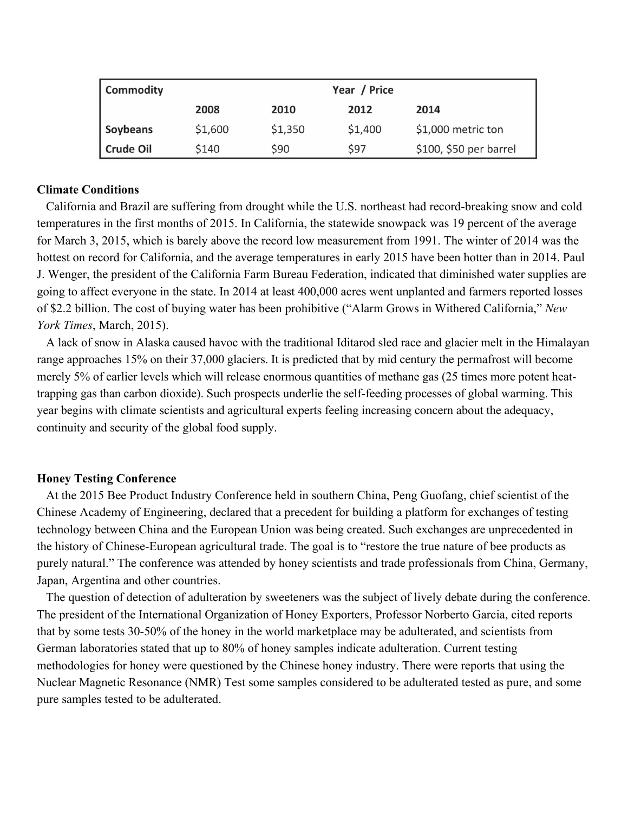| Commodity | Year / Price |         |         |                        |
|-----------|--------------|---------|---------|------------------------|
|           | 2008         | 2010    | 2012    | 2014                   |
| Soybeans  | \$1,600      | \$1,350 | \$1,400 | \$1,000 metric ton     |
| Crude Oil | \$140        | \$90    | \$97    | \$100, \$50 per barrel |

### **Climate Conditions**

California and Brazil are suffering from drought while the U.S. northeast had record-breaking snow and cold temperatures in the first months of 2015. In California, the statewide snowpack was 19 percent of the average for March 3, 2015, which is barely above the record low measurement from 1991. The winter of 2014 was the hottest on record for California, and the average temperatures in early 2015 have been hotter than in 2014. Paul J. Wenger, the president of the California Farm Bureau Federation, indicated that diminished water supplies are going to affect everyone in the state. In 2014 at least 400,000 acres went unplanted and farmers reported losses of \$2.2 billion. The cost of buying water has been prohibitive ("Alarm Grows in Withered California," *New York Times*, March, 2015).

A lack of snow in Alaska caused havoc with the traditional Iditarod sled race and glacier melt in the Himalayan range approaches 15% on their 37,000 glaciers. It is predicted that by mid century the permafrost will become merely 5% of earlier levels which will release enormous quantities of methane gas (25 times more potent heattrapping gas than carbon dioxide). Such prospects underlie the self-feeding processes of global warming. This year begins with climate scientists and agricultural experts feeling increasing concern about the adequacy, continuity and security of the global food supply.

#### **Honey Testing Conference**

At the 2015 Bee Product Industry Conference held in southern China, Peng Guofang, chief scientist of the Chinese Academy of Engineering, declared that a precedent for building a platform for exchanges of testing technology between China and the European Union was being created. Such exchanges are unprecedented in the history of Chinese-European agricultural trade. The goal is to "restore the true nature of bee products as purely natural." The conference was attended by honey scientists and trade professionals from China, Germany, Japan, Argentina and other countries.

The question of detection of adulteration by sweeteners was the subject of lively debate during the conference. The president of the International Organization of Honey Exporters, Professor Norberto Garcia, cited reports that by some tests 30-50% of the honey in the world marketplace may be adulterated, and scientists from German laboratories stated that up to 80% of honey samples indicate adulteration. Current testing methodologies for honey were questioned by the Chinese honey industry. There were reports that using the Nuclear Magnetic Resonance (NMR) Test some samples considered to be adulterated tested as pure, and some pure samples tested to be adulterated.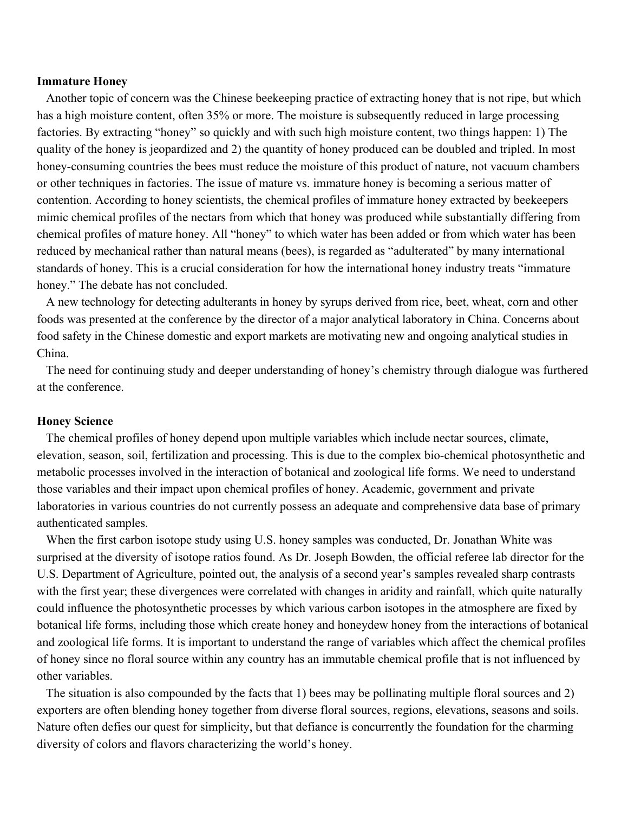#### **Immature Honey**

Another topic of concern was the Chinese beekeeping practice of extracting honey that is not ripe, but which has a high moisture content, often 35% or more. The moisture is subsequently reduced in large processing factories. By extracting "honey" so quickly and with such high moisture content, two things happen: 1) The quality of the honey is jeopardized and 2) the quantity of honey produced can be doubled and tripled. In most honey-consuming countries the bees must reduce the moisture of this product of nature, not vacuum chambers or other techniques in factories. The issue of mature vs. immature honey is becoming a serious matter of contention. According to honey scientists, the chemical profiles of immature honey extracted by beekeepers mimic chemical profiles of the nectars from which that honey was produced while substantially differing from chemical profiles of mature honey. All "honey" to which water has been added or from which water has been reduced by mechanical rather than natural means (bees), is regarded as "adulterated" by many international standards of honey. This is a crucial consideration for how the international honey industry treats "immature honey." The debate has not concluded.

A new technology for detecting adulterants in honey by syrups derived from rice, beet, wheat, corn and other foods was presented at the conference by the director of a major analytical laboratory in China. Concerns about food safety in the Chinese domestic and export markets are motivating new and ongoing analytical studies in China.

The need for continuing study and deeper understanding of honey's chemistry through dialogue was furthered at the conference.

#### **Honey Science**

The chemical profiles of honey depend upon multiple variables which include nectar sources, climate, elevation, season, soil, fertilization and processing. This is due to the complex bio-chemical photosynthetic and metabolic processes involved in the interaction of botanical and zoological life forms. We need to understand those variables and their impact upon chemical profiles of honey. Academic, government and private laboratories in various countries do not currently possess an adequate and comprehensive data base of primary authenticated samples.

When the first carbon isotope study using U.S. honey samples was conducted, Dr. Jonathan White was surprised at the diversity of isotope ratios found. As Dr. Joseph Bowden, the official referee lab director for the U.S. Department of Agriculture, pointed out, the analysis of a second year's samples revealed sharp contrasts with the first year; these divergences were correlated with changes in aridity and rainfall, which quite naturally could influence the photosynthetic processes by which various carbon isotopes in the atmosphere are fixed by botanical life forms, including those which create honey and honeydew honey from the interactions of botanical and zoological life forms. It is important to understand the range of variables which affect the chemical profiles of honey since no floral source within any country has an immutable chemical profile that is not influenced by other variables.

The situation is also compounded by the facts that 1) bees may be pollinating multiple floral sources and 2) exporters are often blending honey together from diverse floral sources, regions, elevations, seasons and soils. Nature often defies our quest for simplicity, but that defiance is concurrently the foundation for the charming diversity of colors and flavors characterizing the world's honey.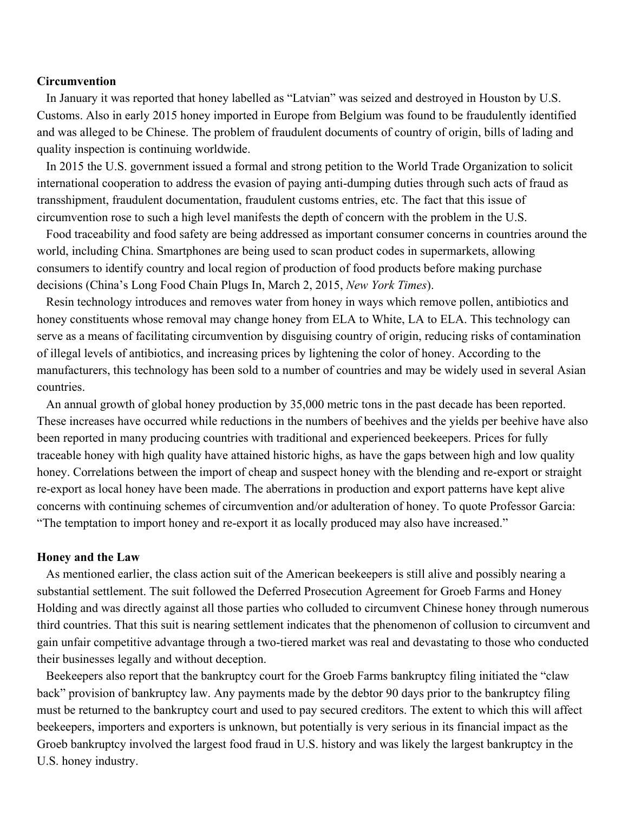#### **Circumvention**

In January it was reported that honey labelled as "Latvian" was seized and destroyed in Houston by U.S. Customs. Also in early 2015 honey imported in Europe from Belgium was found to be fraudulently identified and was alleged to be Chinese. The problem of fraudulent documents of country of origin, bills of lading and quality inspection is continuing worldwide.

In 2015 the U.S. government issued a formal and strong petition to the World Trade Organization to solicit international cooperation to address the evasion of paying anti-dumping duties through such acts of fraud as transshipment, fraudulent documentation, fraudulent customs entries, etc. The fact that this issue of circumvention rose to such a high level manifests the depth of concern with the problem in the U.S.

Food traceability and food safety are being addressed as important consumer concerns in countries around the world, including China. Smartphones are being used to scan product codes in supermarkets, allowing consumers to identify country and local region of production of food products before making purchase decisions (China's Long Food Chain Plugs In, March 2, 2015, *New York Times*).

Resin technology introduces and removes water from honey in ways which remove pollen, antibiotics and honey constituents whose removal may change honey from ELA to White, LA to ELA. This technology can serve as a means of facilitating circumvention by disguising country of origin, reducing risks of contamination of illegal levels of antibiotics, and increasing prices by lightening the color of honey. According to the manufacturers, this technology has been sold to a number of countries and may be widely used in several Asian countries.

An annual growth of global honey production by 35,000 metric tons in the past decade has been reported. These increases have occurred while reductions in the numbers of beehives and the yields per beehive have also been reported in many producing countries with traditional and experienced beekeepers. Prices for fully traceable honey with high quality have attained historic highs, as have the gaps between high and low quality honey. Correlations between the import of cheap and suspect honey with the blending and re-export or straight re-export as local honey have been made. The aberrations in production and export patterns have kept alive concerns with continuing schemes of circumvention and/or adulteration of honey. To quote Professor Garcia: "The temptation to import honey and re-export it as locally produced may also have increased."

#### **Honey and the Law**

As mentioned earlier, the class action suit of the American beekeepers is still alive and possibly nearing a substantial settlement. The suit followed the Deferred Prosecution Agreement for Groeb Farms and Honey Holding and was directly against all those parties who colluded to circumvent Chinese honey through numerous third countries. That this suit is nearing settlement indicates that the phenomenon of collusion to circumvent and gain unfair competitive advantage through a two-tiered market was real and devastating to those who conducted their businesses legally and without deception.

Beekeepers also report that the bankruptcy court for the Groeb Farms bankruptcy filing initiated the "claw back" provision of bankruptcy law. Any payments made by the debtor 90 days prior to the bankruptcy filing must be returned to the bankruptcy court and used to pay secured creditors. The extent to which this will affect beekeepers, importers and exporters is unknown, but potentially is very serious in its financial impact as the Groeb bankruptcy involved the largest food fraud in U.S. history and was likely the largest bankruptcy in the U.S. honey industry.